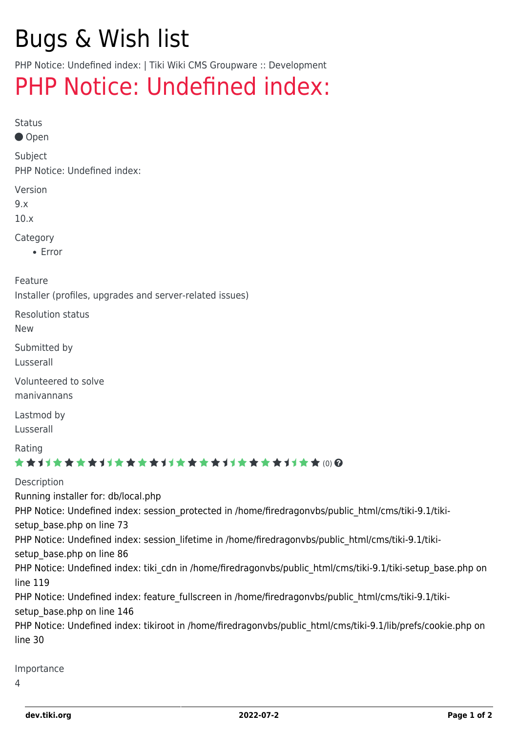# Bugs & Wish list

PHP Notice: Undefined index: | Tiki Wiki CMS Groupware :: Development

## [PHP Notice: Undefined index:](https://dev.tiki.org/item4311-PHP-Notice-Undefined-index)

Status

Open

Subject

PHP Notice: Undefined index:

Version

9.x

10.x

Category

• Error

Feature

Installer (profiles, upgrades and server-related issues)

Resolution status

New

Submitted by

Lusserall

Volunteered to solve manivannans

Lastmod by

Lusserall

Rating

#### \*\*\*\*\*\*\*\*\*\*\*\*\*\*\*\*\*\*\*\*\*\*\*\*\*\*\*\*\*\*

Description Running installer for: db/local.php PHP Notice: Undefined index: session\_protected in /home/firedragonvbs/public\_html/cms/tiki-9.1/tikisetup base.php on line 73 PHP Notice: Undefined index: session lifetime in /home/firedragonvbs/public\_html/cms/tiki-9.1/tikisetup base.php on line 86 PHP Notice: Undefined index: tiki cdn in /home/firedragonvbs/public\_html/cms/tiki-9.1/tiki-setup\_base.php on line 119 PHP Notice: Undefined index: feature fullscreen in /home/firedragonvbs/public\_html/cms/tiki-9.1/tikisetup base.php on line 146 PHP Notice: Undefined index: tikiroot in /home/firedragonvbs/public\_html/cms/tiki-9.1/lib/prefs/cookie.php on line 30

Importance

 $\Delta$